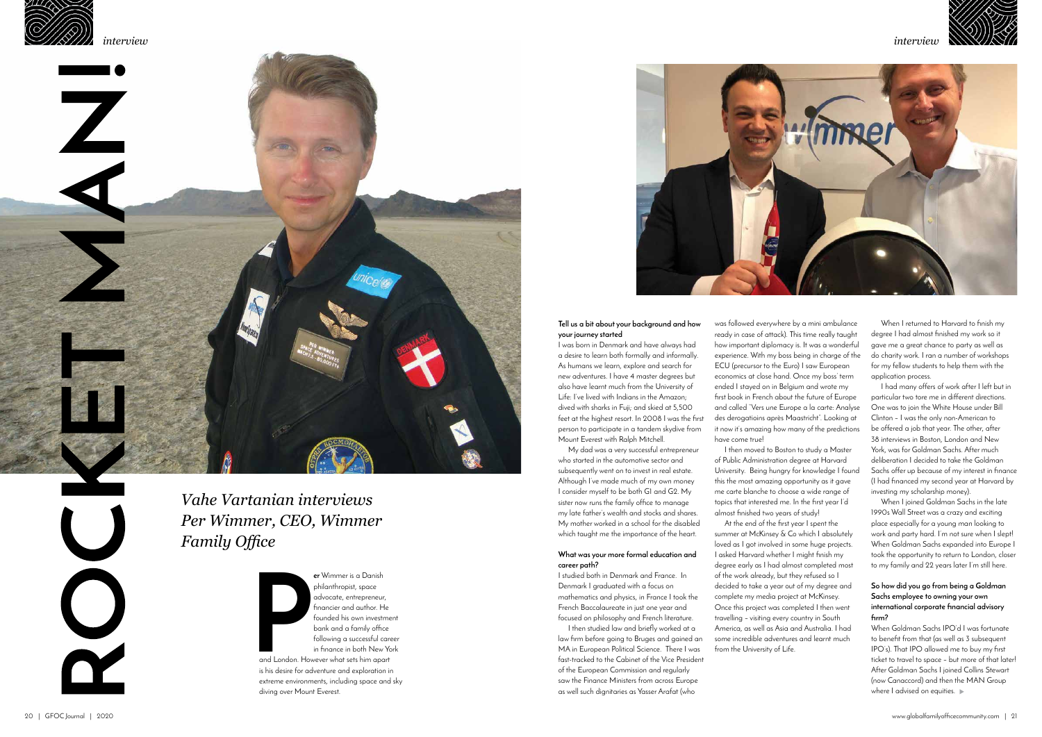## *interview*



**P er** Wimmer is a Danish philanthropist, space advocate, entrepreneur, financier and author. He founded his own investment bank and a family office following a successful career in finance in both New York

and London. However what sets him apart is his desire for adventure and exploration in extreme environments, including space and sky diving over Mount Everest.



### **Tell us a bit about your background and how your journey started**

I was born in Denmark and have always had a desire to learn both formally and informally. As humans we learn, explore and search for new adventures. I have 4 master degrees but also have learnt much from the University of Life: I've lived with Indians in the Amazon; dived with sharks in Fuji; and skied at 5,500 feet at the highest resort. In 2008 I was the first person to participate in a tandem skydive from Mount Everest with Ralph Mitchell.

My dad was a very successful entrepreneur who started in the automotive sector and subsequently went on to invest in real estate. Although I've made much of my own money I consider myself to be both G1 and G2. My sister now runs the family office to manage my late father's wealth and stocks and shares. My mother worked in a school for the disabled which taught me the importance of the heart.

#### **What was your more formal education and career path?**

I studied both in Denmark and France. In Denmark I graduated with a focus on mathematics and physics, in France I took the French Baccalaureate in just one year and focused on philosophy and French literature.

I then studied law and briefly worked at a law firm before going to Bruges and gained an MA in European Political Science. There I was fast-tracked to the Cabinet of the Vice President of the European Commission and regularly saw the Finance Ministers from across Europe as well such dignitaries as Yasser Arafat (who

When I joined Goldman Sachs in the late 1990s Wall Street was a crazy and exciting place especially for a young man looking to work and party hard. I'm not sure when I sleptly When Goldman Sachs expanded into Europe I took the opportunity to return to London, closer to my family and 22 years later I'm still here.

was followed everywhere by a mini ambulance ready in case of attack). This time really taught how important diplomacy is. It was a wonderful experience. With my boss being in charge of the ECU (precursor to the Euro) I saw European economics at close hand. Once my boss' term ended I stayed on in Belgium and wrote my first book in French about the future of Europe and called "Vers une Europe a la carte: Analyse des derogatioins après Maastricht". Looking at it now it's amazing how many of the predictions have come true!

> When Goldman Sachs IPO'd I was fortunate to benefit from that (as well as 3 subsequent IPO's). That IPO allowed me to buy my first ticket to travel to space – but more of that later! After Goldman Sachs I joined Collins Stewart (now Canaccord) and then the MAN Group where I advised on equities.  $\blacktriangleright$

I then moved to Boston to study a Master At the end of the first year I spent the

of Public Administration degree at Harvard University. Being hungry for knowledge I found this the most amazing opportunity as it gave me carte blanche to choose a wide range of topics that interested me. In the first year I'd almost finished two years of study! summer at McKinsey & Co which I absolutely loved as I got involved in some huge projects. I asked Harvard whether I might finish my degree early as I had almost completed most of the work already, but they refused so I decided to take a year out of my degree and complete my media project at McKinsey. Once this project was completed I then went travelling – visiting every country in South America, as well as Asia and Australia. I had some incredible adventures and learnt much from the University of Life.

When I returned to Harvard to finish my degree I had almost finished my work so it gave me a great chance to party as well as do charity work. I ran a number of workshops for my fellow students to help them with the application process.

I had many offers of work after I left but in particular two tore me in different directions. One was to join the White House under Bill Clinton – I was the only non-American to be offered a job that year. The other, after 38 interviews in Boston, London and New York, was for Goldman Sachs. After much deliberation I decided to take the Goldman Sachs offer up because of my interest in finance (I had financed my second year at Harvard by investing my scholarship money).

### **So how did you go from being a Goldman Sachs employee to owning your own international corporate financial advisory firm?**

*Vahe Vartanian interviews Per Wimmer, CEO, Wimmer Family Office*



*interview*